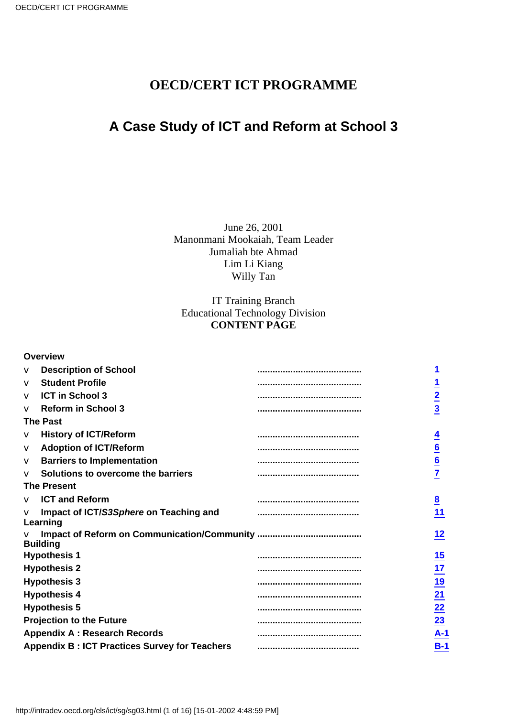## **OECD/CERT ICT PROGRAMME**

## **A Case Study of ICT and Reform at School 3**

June 26, 2001 Manonmani Mookaiah, Team Leader Jumaliah bte Ahmad Lim Li Kiang Willy Tan

### IT Training Branch Educational Technology Division **CONTENT PAGE**

#### **Overview**

| V         | <b>Description of School</b>                         |                             |
|-----------|------------------------------------------------------|-----------------------------|
| $\vee$    | <b>Student Profile</b>                               | $\overline{1}$              |
| V         | <b>ICT in School 3</b>                               |                             |
| $\sqrt{}$ | <b>Reform in School 3</b>                            | $\frac{2}{3}$               |
|           | <b>The Past</b>                                      |                             |
| V         | <b>History of ICT/Reform</b>                         |                             |
| V         | <b>Adoption of ICT/Reform</b>                        |                             |
| V         | <b>Barriers to Implementation</b>                    | $\frac{6}{6}$               |
| $\sqrt{}$ | Solutions to overcome the barriers                   |                             |
|           | <b>The Present</b>                                   |                             |
| V         | <b>ICT and Reform</b>                                | <br>$\overline{\mathbf{8}}$ |
| $\vee$    | Impact of ICT/S3Sphere on Teaching and<br>Learning   | 11                          |
|           | <b>Building</b>                                      | 12                          |
|           | <b>Hypothesis 1</b>                                  | $\overline{15}$             |
|           | <b>Hypothesis 2</b>                                  | <br>17                      |
|           | <b>Hypothesis 3</b>                                  |                             |
|           | <b>Hypothesis 4</b>                                  | $\frac{19}{21}$             |
|           | <b>Hypothesis 5</b>                                  | <br>22                      |
|           | <b>Projection to the Future</b>                      | <br>$\overline{23}$         |
|           | <b>Appendix A: Research Records</b>                  | $A-1$                       |
|           | <b>Appendix B: ICT Practices Survey for Teachers</b> | $B-1$                       |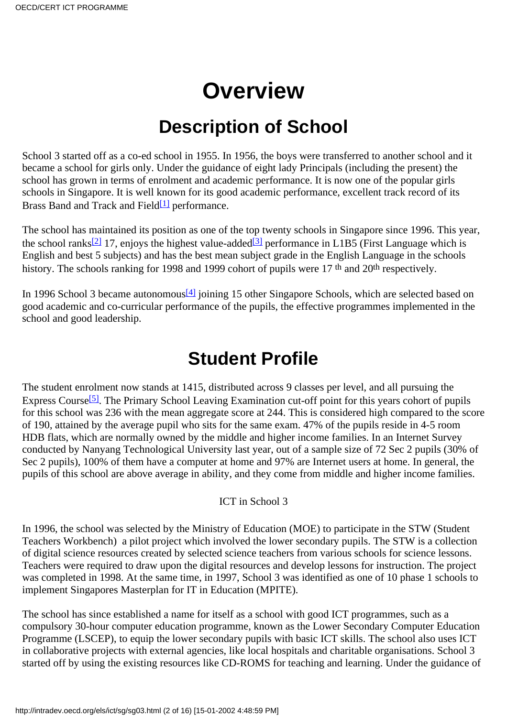# **Overview**

# **Description of School**

<span id="page-1-0"></span>School 3 started off as a co-ed school in 1955. In 1956, the boys were transferred to another school and it became a school for girls only. Under the guidance of eight lady Principals (including the present) the school has grown in terms of enrolment and academic performance. It is now one of the popular girls schools in Singapore. It is well known for its good academic performance, excellent track record of its Brass Band and Track and Field<sup>[1]</sup> performance.

<span id="page-1-4"></span><span id="page-1-3"></span>The school has maintained its position as one of the top twenty schools in Singapore since 1996. This year, the school ranks<sup>[\[2\]](#page-15-1)</sup> 17, enjoys the highest value-added<sup>[3]</sup> performance in L1B5 (First Language which is English and best 5 subjects) and has the best mean subject grade in the English Language in the schools history. The school s ranking for 1998 and 1999 cohort of pupils were 17<sup>th</sup> and 20<sup>th</sup> respectively.

<span id="page-1-5"></span>In 1996 School 3 became autonomous<sup>[4]</sup> joining 15 other Singapore Schools, which are selected based on good academic and co-curricular performance of the pupils, the effective programmes implemented in the school and good leadership.

# **Student Profile**

<span id="page-1-6"></span><span id="page-1-1"></span>The student enrolment now stands at 1415, distributed across 9 classes per level, and all pursuing the Express Course<sup>[5]</sup>. The Primary School Leaving Examination cut-off point for this year s cohort of pupils for this school was 236 with the mean aggregate score at 244. This is considered high compared to the score of 190, attained by the average pupil who sits for the same exam. 47% of the pupils reside in 4-5 room HDB flats, which are normally owned by the middle and higher income families. In an Internet Survey conducted by Nanyang Technological University last year, out of a sample size of 72 Sec 2 pupils (30% of Sec 2 pupils), 100% of them have a computer at home and 97% are Internet users at home. In general, the pupils of this school are above average in ability, and they come from middle and higher income families.

### ICT in School 3

<span id="page-1-2"></span>In 1996, the school was selected by the Ministry of Education (MOE) to participate in the STW (Student Teachers Workbench) a pilot project which involved the lower secondary pupils. The STW is a collection of digital science resources created by selected science teachers from various schools for science lessons. Teachers were required to draw upon the digital resources and develop lessons for instruction. The project was completed in 1998. At the same time, in 1997, School 3 was identified as one of 10 phase 1 schools to implement Singapores Masterplan for IT in Education (MPITE).

The school has since established a name for itself as a school with good ICT programmes, such as a compulsory 30-hour computer education programme, known as the Lower Secondary Computer Education Programme (LSCEP), to equip the lower secondary pupils with basic ICT skills. The school also uses ICT in collaborative projects with external agencies, like local hospitals and charitable organisations. School 3 started off by using the existing resources like CD-ROMS for teaching and learning. Under the guidance of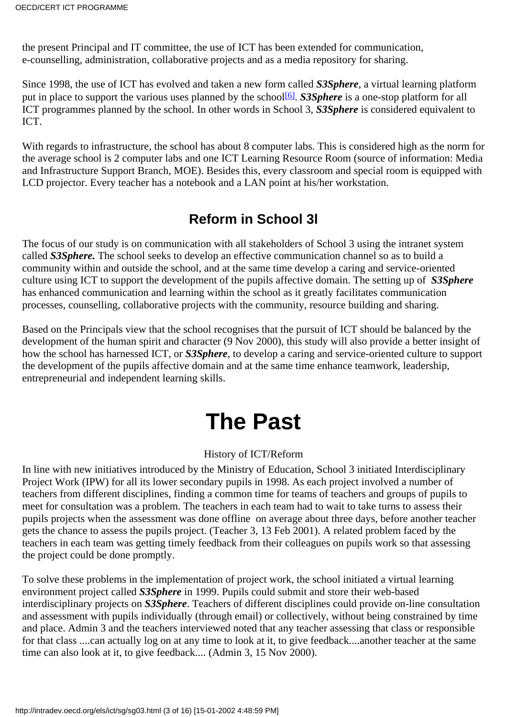the present Principal and IT committee, the use of ICT has been extended for communication, e-counselling, administration, collaborative projects and as a media repository for sharing.

<span id="page-2-2"></span>Since 1998, the use of ICT has evolved and taken a new form called *S3Sphere*, a virtual learning platform put in place to support the various uses planned by the school<sup>[6]</sup>. *S3Sphere* is a one-stop platform for all ICT programmes planned by the school. In other words in School 3, *S3Sphere* is considered equivalent to ICT.

With regards to infrastructure, the school has about 8 computer labs. This is considered high as the norm for the average school is 2 computer labs and one ICT Learning Resource Room (source of information: Media and Infrastructure Support Branch, MOE). Besides this, every classroom and special room is equipped with LCD projector. Every teacher has a notebook and a LAN point at his/her workstation.

## **Reform in School 3l**

<span id="page-2-0"></span>The focus of our study is on communication with all stakeholders of School 3 using the intranet system called *S3Sphere.* The school seeks to develop an effective communication channel so as to build a community within and outside the school, and at the same time develop a caring and service-oriented culture using ICT to support the development of the pupils affective domain. The setting up of *S3Sphere* has enhanced communication and learning within the school as it greatly facilitates communication processes, counselling, collaborative projects with the community, resource building and sharing.

Based on the Principal s view that the school recognises that the pursuit of ICT should be balanced by the development of the human spirit and character (9 Nov 2000), this study will also provide a better insight of how the school has harnessed ICT, or *S3Sphere*, to develop a caring and service-oriented culture to support the development of the pupils affective domain and at the same time enhance teamwork, leadership, entrepreneurial and independent learning skills.

# **The Past**

## History of ICT/Reform

<span id="page-2-1"></span>In line with new initiatives introduced by the Ministry of Education, School 3 initiated Interdisciplinary Project Work (IPW) for all its lower secondary pupils in 1998. As each project involved a number of teachers from different disciplines, finding a common time for teams of teachers and groups of pupils to meet for consultation was a problem. The teachers in each team had to wait to take turns to assess their pupils projects when the assessment was done offline on average about three days, before another teacher gets the chance to assess the pupils project. (Teacher 3, 13 Feb 2001). A related problem faced by the teachers in each team was getting timely feedback from their colleagues on pupils work so that assessing the project could be done promptly.

To solve these problems in the implementation of project work, the school initiated a virtual learning environment project called *S3Sphere* in 1999. Pupils could submit and store their web-based interdisciplinary projects on *S3Sphere*. Teachers of different disciplines could provide on-line consultation and assessment with pupils individually (through email) or collectively, without being constrained by time and place. Admin 3 and the teachers interviewed noted that any teacher assessing that class or responsible for that class ....can actually log on at any time to look at it, to give feedback....another teacher at the same time can also look at it, to give feedback.... (Admin 3, 15 Nov 2000).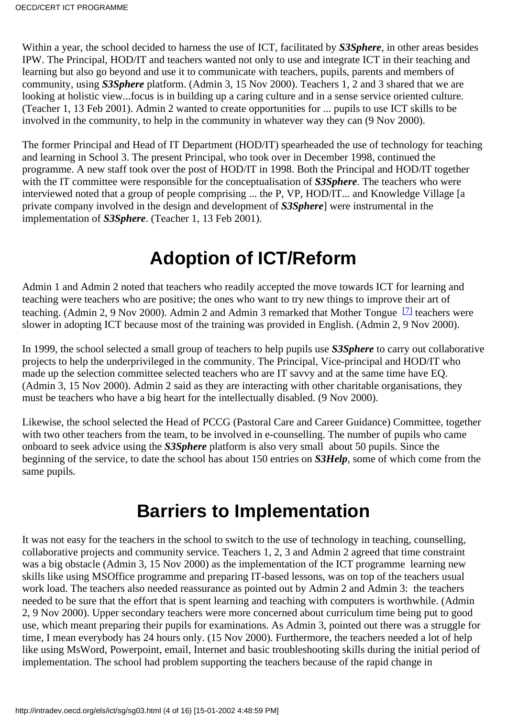Within a year, the school decided to harness the use of ICT, facilitated by *S3Sphere*, in other areas besides IPW. The Principal, HOD/IT and teachers wanted not only to use and integrate ICT in their teaching and learning but also go beyond and use it to communicate with teachers, pupils, parents and members of community, using *S3Sphere* platform. (Admin 3, 15 Nov 2000). Teachers 1, 2 and 3 shared that we are looking at holistic view...focus is in building up a caring culture and in a sense service oriented culture. (Teacher 1, 13 Feb 2001). Admin 2 wanted to create opportunities for ... pupils to use ICT skills to be involved in the community, to help in the community in whatever way they can (9 Nov 2000).

The former Principal and Head of IT Department (HOD/IT) spearheaded the use of technology for teaching and learning in School 3. The present Principal, who took over in December 1998, continued the programme. A new staff took over the post of HOD/IT in 1998. Both the Principal and HOD/IT together with the IT committee were responsible for the conceptualisation of *S3Sphere*. The teachers who were interviewed noted that a group of people comprising ... the P, VP, HOD/IT... and Knowledge Village [a private company involved in the design and development of *S3Sphere*] were instrumental in the implementation of *S3Sphere*. (Teacher 1, 13 Feb 2001).

# **Adoption of ICT/Reform**

<span id="page-3-2"></span><span id="page-3-0"></span>Admin 1 and Admin 2 noted that teachers who readily accepted the move towards ICT for learning and teaching were teachers who are positive; the ones who want to try new things to improve their art of teaching. (Admin 2, 9 Nov 2000). Admin 2 and Admin 3 remarked that Mother Tongue<sup>[7]</sup> teachers were slower in adopting ICT because most of the training was provided in English. (Admin 2, 9 Nov 2000).

In 1999, the school selected a small group of teachers to help pupils use *S3Sphere* to carry out collaborative projects to help the underprivileged in the community. The Principal, Vice-principal and HOD/IT who made up the selection committee selected teachers who are IT savvy and at the same time have EQ. (Admin 3, 15 Nov 2000). Admin 2 said as they are interacting with other charitable organisations, they must be teachers who have a big heart for the intellectually disabled. (9 Nov 2000).

Likewise, the school selected the Head of PCCG (Pastoral Care and Career Guidance) Committee, together with two other teachers from the team, to be involved in e-counselling. The number of pupils who came onboard to seek advice using the *S3Sphere* platform is also very small about 50 pupils. Since the beginning of the service, to date the school has about 150 entries on *S3Help*, some of which come from the same pupils.

# **Barriers to Implementation**

<span id="page-3-1"></span>It was not easy for the teachers in the school to switch to the use of technology in teaching, counselling, collaborative projects and community service. Teachers 1, 2, 3 and Admin 2 agreed that time constraint was a big obstacle (Admin 3, 15 Nov 2000) as the implementation of the ICT programme learning new skills like using MSOffice programme and preparing IT-based lessons, was on top of the teachers usual work load. The teachers also needed reassurance as pointed out by Admin 2 and Admin 3: the teachers needed to be sure that the effort that is spent learning and teaching with computers is worthwhile. (Admin 2, 9 Nov 2000). Upper secondary teachers were more concerned about curriculum time being put to good use, which meant preparing their pupils for examinations. As Admin 3, pointed out there was a struggle for time, I mean everybody has 24 hours only. (15 Nov 2000). Furthermore, the teachers needed a lot of help like using MsWord, Powerpoint, email, Internet and basic troubleshooting skills during the initial period of implementation. The school had problem supporting the teachers because of the rapid change in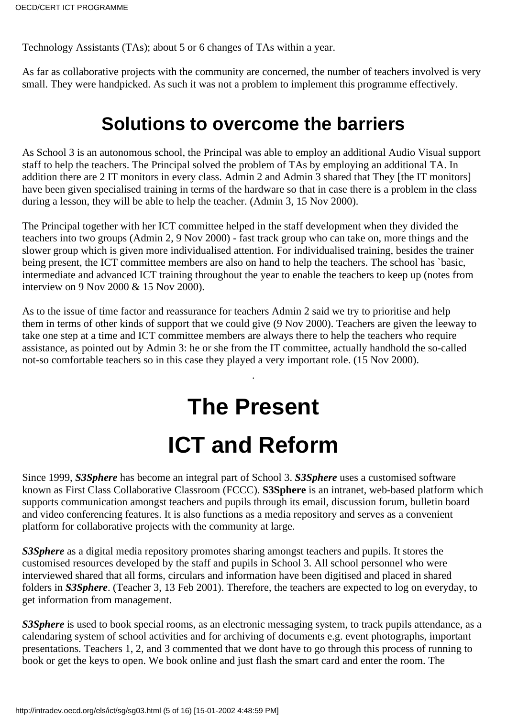Technology Assistants (TAs); about 5 or 6 changes of TAs within a year.

As far as collaborative projects with the community are concerned, the number of teachers involved is very small. They were handpicked. As such it was not a problem to implement this programme effectively.

# **Solutions to overcome the barriers**

<span id="page-4-0"></span>As School 3 is an autonomous school, the Principal was able to employ an additional Audio Visual support staff to help the teachers. The Principal solved the problem of TAs by employing an additional TA. In addition there are 2 IT monitors in every class. Admin 2 and Admin 3 shared that They [the IT monitors] have been given specialised training in terms of the hardware so that in case there is a problem in the class during a lesson, they will be able to help the teacher. (Admin 3, 15 Nov 2000).

The Principal together with her ICT committee helped in the staff development when they divided the teachers into two groups (Admin 2, 9 Nov 2000) - fast track group who can take on, more things and the slower group which is given more individualised attention. For individualised training, besides the trainer being present, the ICT committee members are also on hand to help the teachers. The school has `basic, intermediate and advanced ICT training throughout the year to enable the teachers to keep up (notes from interview on 9 Nov 2000 & 15 Nov 2000).

As to the issue of time factor and reassurance for teachers Admin 2 said we try to prioritise and help them in terms of other kinds of support that we could give (9 Nov 2000). Teachers are given the leeway to take one step at a time and ICT committee members are always there to help the teachers who require assistance, as pointed out by Admin 3: he or she from the IT committee, actually handhold the so-called not-so comfortable teachers so in this case they played a very important role. (15 Nov 2000).

.

# **The Present ICT and Reform**

<span id="page-4-1"></span>Since 1999, *S3Sphere* has become an integral part of School 3. *S3Sphere* uses a customised software known as First Class Collaborative Classroom (FCCC). **S3Sphere** is an intranet, web-based platform which supports communication amongst teachers and pupils through its email, discussion forum, bulletin board and video conferencing features. It is also functions as a media repository and serves as a convenient platform for collaborative projects with the community at large.

*S3Sphere* as a digital media repository promotes sharing amongst teachers and pupils. It stores the customised resources developed by the staff and pupils in School 3. All school personnel who were interviewed shared that all forms, circulars and information have been digitised and placed in shared folders in *S3Sphere*. (Teacher 3, 13 Feb 2001). Therefore, the teachers are expected to log on everyday, to get information from management.

*S3Sphere* is used to book special rooms, as an electronic messaging system, to track pupils attendance, as a calendaring system of school activities and for archiving of documents e.g. event photographs, important presentations. Teachers 1, 2, and 3 commented that we dont have to go through this process of running to book or get the keys to open. We book online and just flash the smart card and enter the room. The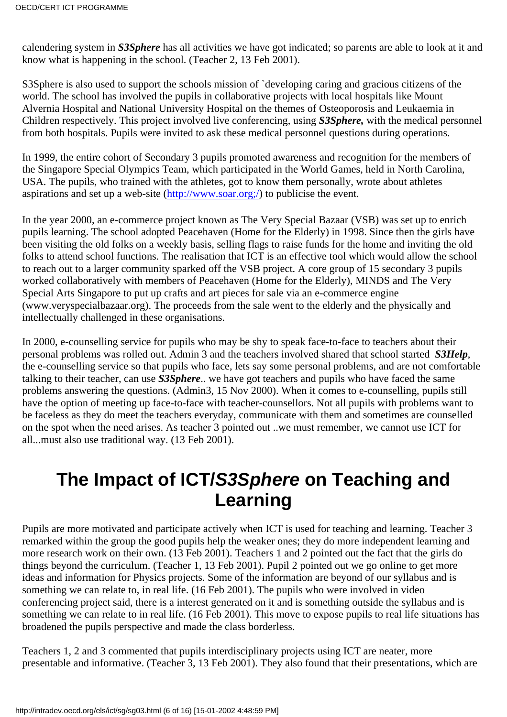calendering system in *S3Sphere* has all activities we have got indicated; so parents are able to look at it and know what is happening in the school. (Teacher 2, 13 Feb 2001).

S3Sphere is also used to support the school s mission of `developing caring and gracious citizens of the world. The school has involved the pupils in collaborative projects with local hospitals like Mount Alvernia Hospital and National University Hospital on the themes of Osteoporosis and Leukaemia in Children respectively. This project involved live conferencing, using *S3Sphere,* with the medical personnel from both hospitals. Pupils were invited to ask these medical personnel questions during operations.

In 1999, the entire cohort of Secondary 3 pupils promoted awareness and recognition for the members of the Singapore Special Olympics Team, which participated in the World Games, held in North Carolina, USA. The pupils, who trained with the athletes, got to know them personally, wrote about athletes aspirations and set up a web-site [\(http://www.soar.org;/](http://www.soar.org;/)) to publicise the event.

In the year 2000, an e-commerce project known as The Very Special Bazaar (VSB) was set up to enrich pupils learning. The school adopted Peacehaven (Home for the Elderly) in 1998. Since then the girls have been visiting the old folks on a weekly basis, selling flags to raise funds for the home and inviting the old folks to attend school functions. The realisation that ICT is an effective tool which would allow the school to reach out to a larger community sparked off the VSB project. A core group of 15 secondary 3 pupils worked collaboratively with members of Peacehaven (Home for the Elderly), MINDS and The Very Special Arts Singapore to put up crafts and art pieces for sale via an e-commerce engine (www.veryspecialbazaar.org). The proceeds from the sale went to the elderly and the physically and intellectually challenged in these organisations.

In 2000, e-counselling service for pupils who may be shy to speak face-to-face to teachers about their personal problems was rolled out. Admin 3 and the teachers involved shared that school started *S3Help*, the e-counselling service so that pupils who face, let s say some personal problems, and are not comfortable talking to their teacher, can use *S3Sphere*.. we have got teachers and pupils who have faced the same problems answering the questions. (Admin3, 15 Nov 2000). When it comes to e-counselling, pupils still have the option of meeting up face-to-face with teacher-counsellors. Not all pupils with problems want to be faceless as they do meet the teachers everyday, communicate with them and sometimes are counselled on the spot when the need arises. As teacher 3 pointed out ..we must remember, we cannot use ICT for all...must also use traditional way. (13 Feb 2001).

# <span id="page-5-0"></span>**The Impact of ICT/S3Sphere on Teaching and Learning**

Pupils are more motivated and participate actively when ICT is used for teaching and learning. Teacher 3 remarked within the group the good pupils help the weaker ones; they do more independent learning and more research work on their own. (13 Feb 2001). Teachers 1 and 2 pointed out the fact that the girls do things beyond the curriculum. (Teacher 1, 13 Feb 2001). Pupil 2 pointed out we go online to get more ideas and information for Physics projects. Some of the information are beyond of our syllabus and is something we can relate to, in real life. (16 Feb 2001). The pupils who were involved in video conferencing project said, there is a interest generated on it and is something outside the syllabus and is something we can relate to in real life. (16 Feb 2001). This move to expose pupils to real life situations has broadened the pupils perspective and made the class borderless.

Teachers 1, 2 and 3 commented that pupils interdisciplinary projects using ICT are neater, more presentable and informative. (Teacher 3, 13 Feb 2001). They also found that their presentations, which are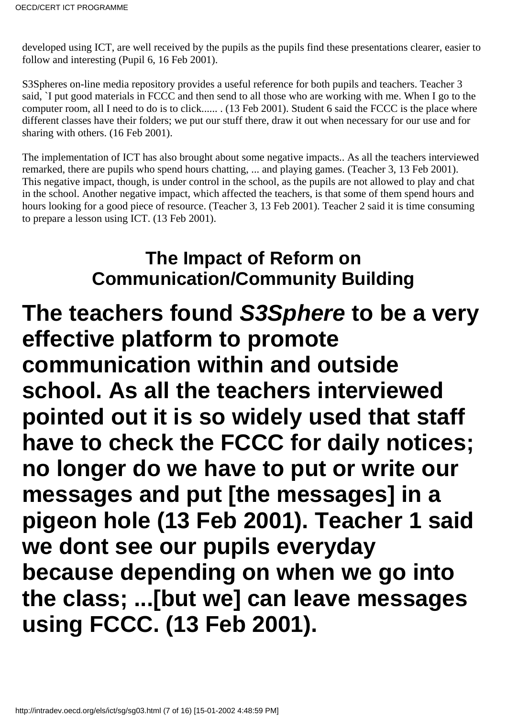developed using ICT, are well received by the pupils as the pupils find these presentations clearer, easier to follow and interesting (Pupil 6, 16 Feb 2001).

S3Sphere s on-line media repository provides a useful reference for both pupils and teachers. Teacher 3 said, `I put good materials in FCCC and then send to all those who are working with me. When I go to the computer room, all I need to do is to click...... . (13 Feb 2001). Student 6 said the FCCC is the place where different classes have their folders; we put our stuff there, draw it out when necessary for our use and for sharing with others. (16 Feb 2001).

The implementation of ICT has also brought about some negative impacts.. As all the teachers interviewed remarked, there are pupils who spend hours chatting, ... and playing games. (Teacher 3, 13 Feb 2001). This negative impact, though, is under control in the school, as the pupils are not allowed to play and chat in the school. Another negative impact, which affected the teachers, is that some of them spend hours and hours looking for a good piece of resource. (Teacher 3, 13 Feb 2001). Teacher 2 said it is time consuming to prepare a lesson using ICT. (13 Feb 2001).

# **The Impact of Reform on Communication/Community Building**

<span id="page-6-0"></span>**The teachers found S3Sphere to be a very effective platform to promote communication within and outside school. As all the teachers interviewed pointed out it is so widely used that staff have to check the FCCC for daily notices; no longer do we have to put or write our messages and put [the messages] in a pigeon hole (13 Feb 2001). Teacher 1 said we dont see our pupils everyday because depending on when we go into the class; ...[but we] can leave messages using FCCC. (13 Feb 2001).**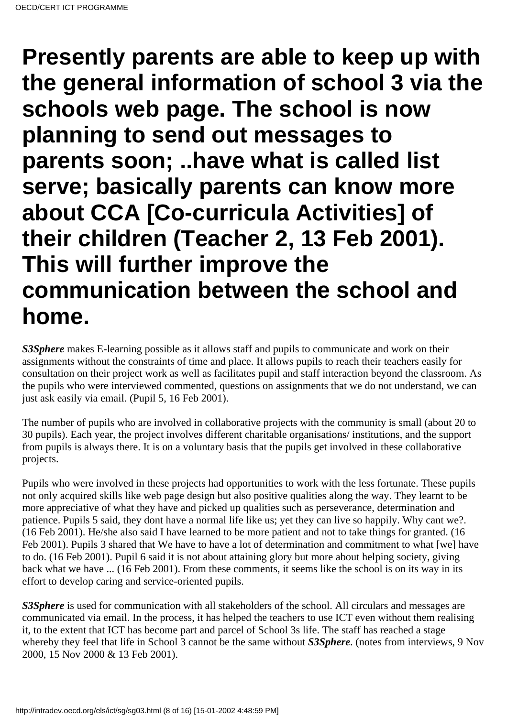**Presently parents are able to keep up with the general information of school 3 via the schools web page. The school is now planning to send out messages to parents soon; ..have what is called list serve; basically parents can know more about CCA [Co-curricula Activities] of their children (Teacher 2, 13 Feb 2001). This will further improve the communication between the school and home.**

*S3Sphere* makes E-learning possible as it allows staff and pupils to communicate and work on their assignments without the constraints of time and place. It allows pupils to reach their teachers easily for consultation on their project work as well as facilitates pupil and staff interaction beyond the classroom. As the pupils who were interviewed commented, questions on assignments that we do not understand, we can just ask easily via email. (Pupil 5, 16 Feb 2001).

The number of pupils who are involved in collaborative projects with the community is small (about 20 to 30 pupils). Each year, the project involves different charitable organisations/ institutions, and the support from pupils is always there. It is on a voluntary basis that the pupils get involved in these collaborative projects.

Pupils who were involved in these projects had opportunities to work with the less fortunate. These pupils not only acquired skills like web page design but also positive qualities along the way. They learnt to be more appreciative of what they have and picked up qualities such as perseverance, determination and patience. Pupils 5 said, they dont have a normal life like us; yet they can live so happily. Why can t we?. (16 Feb 2001). He/she also said I have learned to be more patient and not to take things for granted. (16 Feb 2001). Pupils 3 shared that We have to have a lot of determination and commitment to what [we] have to do. (16 Feb 2001). Pupil 6 said it is not about attaining glory but more about helping society, giving back what we have ... (16 Feb 2001). From these comments, it seems like the school is on its way in its effort to develop caring and service-oriented pupils.

*S3Sphere* is used for communication with all stakeholders of the school. All circulars and messages are communicated via email. In the process, it has helped the teachers to use ICT even without them realising it, to the extent that ICT has become part and parcel of School 3s life. The staff has reached a stage whereby they feel that life in School 3 cannot be the same without *S3Sphere*. (notes from interviews, 9 Nov 2000, 15 Nov 2000 & 13 Feb 2001).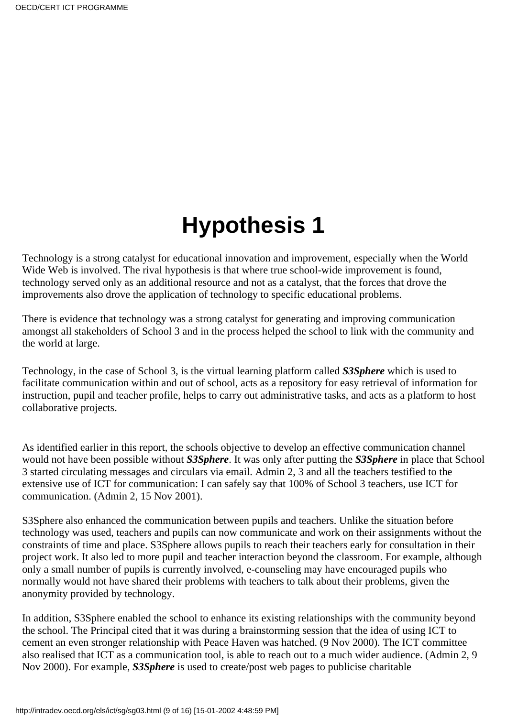# **Hypothesis 1**

<span id="page-8-0"></span>Technology is a strong catalyst for educational innovation and improvement, especially when the World Wide Web is involved. The rival hypothesis is that where true school-wide improvement is found, technology served only as an additional resource and not as a catalyst, that the forces that drove the improvements also drove the application of technology to specific educational problems.

There is evidence that technology was a strong catalyst for generating and improving communication amongst all stakeholders of School 3 and in the process helped the school to link with the community and the world at large.

Technology, in the case of School 3, is the virtual learning platform called *S3Sphere* which is used to facilitate communication within and out of school, acts as a repository for easy retrieval of information for instruction, pupil and teacher profile, helps to carry out administrative tasks, and acts as a platform to host collaborative projects.

As identified earlier in this report, the school s objective to develop an effective communication channel would not have been possible without *S3Sphere*. It was only after putting the *S3Sphere* in place that School 3 started circulating messages and circulars via email. Admin 2, 3 and all the teachers testified to the extensive use of ICT for communication: I can safely say that 100% of School 3 teachers, use ICT for communication. (Admin 2, 15 Nov 2001).

S3Sphere also enhanced the communication between pupils and teachers. Unlike the situation before technology was used, teachers and pupils can now communicate and work on their assignments without the constraints of time and place. S3Sphere allows pupils to reach their teachers early for consultation in their project work. It also led to more pupil and teacher interaction beyond the classroom. For example, although only a small number of pupils is currently involved, e-counseling may have encouraged pupils who normally would not have shared their problems with teachers to talk about their problems, given the anonymity provided by technology.

In addition, S3Sphere enabled the school to enhance its existing relationships with the community beyond the school. The Principal cited that it was during a brainstorming session that the idea of using ICT to cement an even stronger relationship with Peace Haven was hatched. (9 Nov 2000). The ICT committee also realised that ICT as a communication tool, is able to reach out to a much wider audience. (Admin 2, 9 Nov 2000). For example, *S3Sphere* is used to create/post web pages to publicise charitable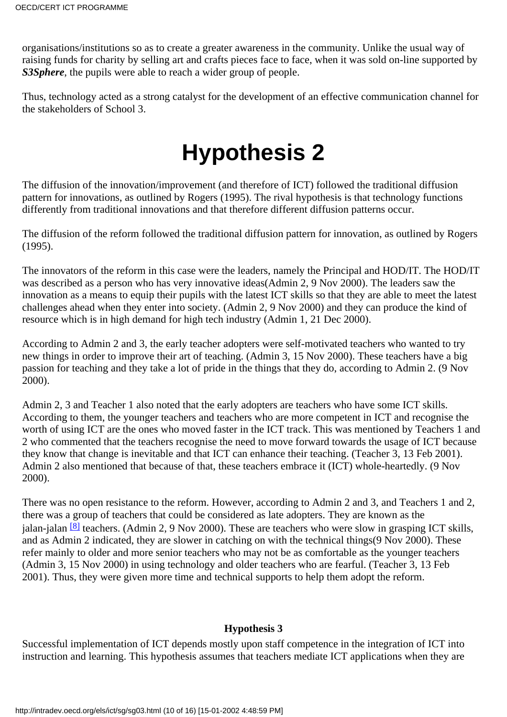organisations/institutions so as to create a greater awareness in the community. Unlike the usual way of raising funds for charity by selling art and crafts pieces face to face, when it was sold on-line supported by *S3Sphere*, the pupils were able to reach a wider group of people.

Thus, technology acted as a strong catalyst for the development of an effective communication channel for the stakeholders of School 3.

# **Hypothesis 2**

<span id="page-9-0"></span>The diffusion of the innovation/improvement (and therefore of ICT) followed the traditional diffusion pattern for innovations, as outlined by Rogers (1995). The rival hypothesis is that technology functions differently from traditional innovations and that therefore different diffusion patterns occur.

The diffusion of the reform followed the traditional diffusion pattern for innovation, as outlined by Rogers (1995).

The innovators of the reform in this case were the leaders, namely the Principal and HOD/IT. The HOD/IT was described as a person who has very innovative ideas(Admin 2, 9 Nov 2000). The leaders saw the innovation as a means to equip their pupils with the latest ICT skills so that they are able to meet the latest challenges ahead when they enter into society. (Admin 2, 9 Nov 2000) and they can produce the kind of resource which is in high demand for high tech industry (Admin 1, 21 Dec 2000).

According to Admin 2 and 3, the early teacher adopters were self-motivated teachers who wanted to try new things in order to improve their art of teaching. (Admin 3, 15 Nov 2000). These teachers have a big passion for teaching and they take a lot of pride in the things that they do, according to Admin 2. (9 Nov 2000).

Admin 2, 3 and Teacher 1 also noted that the early adopters are teachers who have some ICT skills. According to them, the younger teachers and teachers who are more competent in ICT and recognise the worth of using ICT are the ones who moved faster in the ICT track. This was mentioned by Teachers 1 and 2 who commented that the teachers recognise the need to move forward towards the usage of ICT because they know that change is inevitable and that ICT can enhance their teaching. (Teacher 3, 13 Feb 2001). Admin 2 also mentioned that because of that, these teachers embrace it (ICT) whole-heartedly. (9 Nov 2000).

<span id="page-9-2"></span>There was no open resistance to the reform. However, according to Admin 2 and 3, and Teachers 1 and 2, there was a group of teachers that could be considered as late adopters. They are known as the jalan-jalan $[8]$  teachers. (Admin 2, 9 Nov 2000). These are teachers who were slow in grasping ICT skills, and as Admin 2 indicated, they are slower in catching on with the technical things (9 Nov 2000). These refer mainly to older and more senior teachers who may not be as comfortable as the younger teachers (Admin 3, 15 Nov 2000) in using technology and older teachers who are fearful. (Teacher 3, 13 Feb 2001). Thus, they were given more time and technical supports to help them adopt the reform.

## **Hypothesis 3**

<span id="page-9-1"></span>Successful implementation of ICT depends mostly upon staff competence in the integration of ICT into instruction and learning. This hypothesis assumes that teachers mediate ICT applications when they are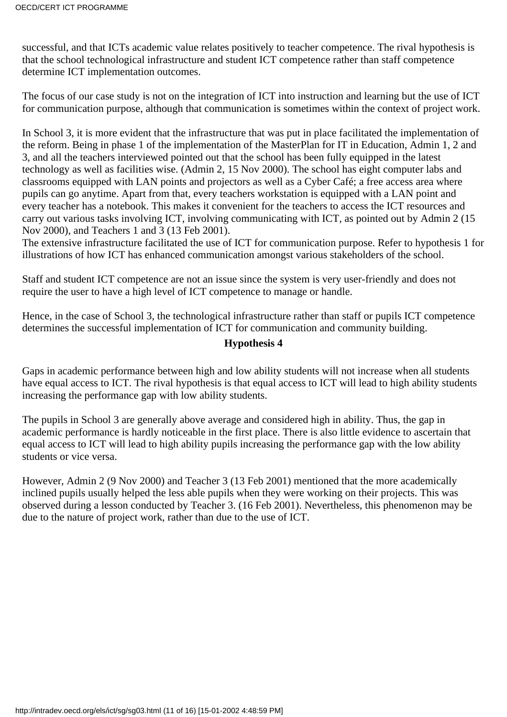successful, and that ICT s academic value relates positively to teacher competence. The rival hypothesis is that the school technological infrastructure and student ICT competence rather than staff competence determine ICT implementation outcomes.

The focus of our case study is not on the integration of ICT into instruction and learning but the use of ICT for communication purpose, although that communication is sometimes within the context of project work.

In School 3, it is more evident that the infrastructure that was put in place facilitated the implementation of the reform. Being in phase 1 of the implementation of the MasterPlan for IT in Education, Admin 1, 2 and 3, and all the teachers interviewed pointed out that the school has been fully equipped in the latest technology as well as facilities wise. (Admin 2, 15 Nov 2000). The school has eight computer labs and classrooms equipped with LAN points and projectors as well as a Cyber Café; a free access area where pupils can go anytime. Apart from that, every teacher s workstation is equipped with a LAN point and every teacher has a notebook. This makes it convenient for the teachers to access the ICT resources and carry out various tasks involving ICT, involving communicating with ICT, as pointed out by Admin 2 (15 Nov 2000), and Teachers 1 and 3 (13 Feb 2001).

The extensive infrastructure facilitated the use of ICT for communication purpose. Refer to hypothesis 1 for illustrations of how ICT has enhanced communication amongst various stakeholders of the school.

Staff and student ICT competence are not an issue since the system is very user-friendly and does not require the user to have a high level of ICT competence to manage or handle.

Hence, in the case of School 3, the technological infrastructure rather than staff or pupils ICT competence determines the successful implementation of ICT for communication and community building.

### **Hypothesis 4**

<span id="page-10-0"></span>Gaps in academic performance between high and low ability students will not increase when all students have equal access to ICT. The rival hypothesis is that equal access to ICT will lead to high ability students increasing the performance gap with low ability students.

The pupils in School 3 are generally above average and considered high in ability. Thus, the gap in academic performance is hardly noticeable in the first place. There is also little evidence to ascertain that equal access to ICT will lead to high ability pupils increasing the performance gap with the low ability students or vice versa.

However, Admin 2 (9 Nov 2000) and Teacher 3 (13 Feb 2001) mentioned that the more academically inclined pupils usually helped the less able pupils when they were working on their projects. This was observed during a lesson conducted by Teacher 3. (16 Feb 2001). Nevertheless, this phenomenon may be due to the nature of project work, rather than due to the use of ICT.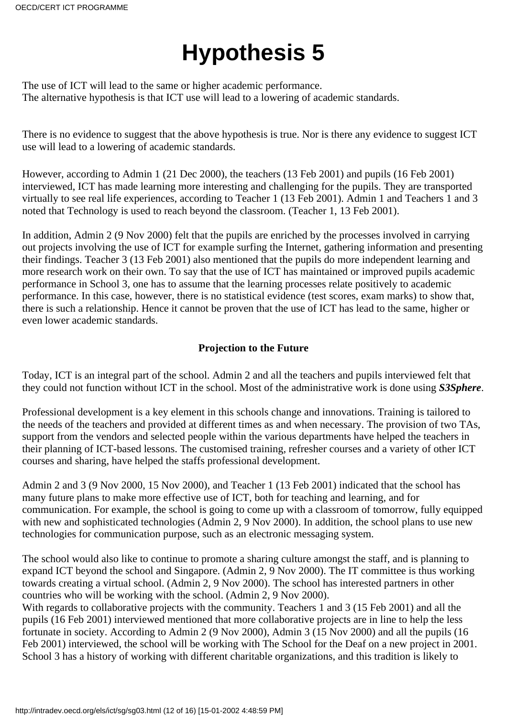# **Hypothesis 5**

<span id="page-11-0"></span>The use of ICT will lead to the same or higher academic performance. The alternative hypothesis is that ICT use will lead to a lowering of academic standards.

There is no evidence to suggest that the above hypothesis is true. Nor is there any evidence to suggest ICT use will lead to a lowering of academic standards.

However, according to Admin 1 (21 Dec 2000), the teachers (13 Feb 2001) and pupils (16 Feb 2001) interviewed, ICT has made learning more interesting and challenging for the pupils. They are transported virtually to see real life experiences, according to Teacher 1 (13 Feb 2001). Admin 1 and Teachers 1 and 3 noted that Technology is used to reach beyond the classroom. (Teacher 1, 13 Feb 2001).

In addition, Admin 2 (9 Nov 2000) felt that the pupils are enriched by the processes involved in carrying out projects involving the use of ICT for example surfing the Internet, gathering information and presenting their findings. Teacher 3 (13 Feb 2001) also mentioned that the pupils do more independent learning and more research work on their own. To say that the use of ICT has maintained or improved pupils academic performance in School 3, one has to assume that the learning processes relate positively to academic performance. In this case, however, there is no statistical evidence (test scores, exam marks) to show that, there is such a relationship. Hence it cannot be proven that the use of ICT has lead to the same, higher or even lower academic standards.

## **Projection to the Future**

<span id="page-11-1"></span>Today, ICT is an integral part of the school. Admin 2 and all the teachers and pupils interviewed felt that they could not function without ICT in the school. Most of the administrative work is done using *S3Sphere*.

Professional development is a key element in this school s change and innovations. Training is tailored to the needs of the teachers and provided at different times as and when necessary. The provision of two TAs, support from the vendors and selected people within the various departments have helped the teachers in their planning of ICT-based lessons. The customised training, refresher courses and a variety of other ICT courses and sharing, have helped the staff s professional development.

Admin 2 and 3 (9 Nov 2000, 15 Nov 2000), and Teacher 1 (13 Feb 2001) indicated that the school has many future plans to make more effective use of ICT, both for teaching and learning, and for communication. For example, the school is going to come up with a classroom of tomorrow, fully equipped with new and sophisticated technologies (Admin 2, 9 Nov 2000). In addition, the school plans to use new technologies for communication purpose, such as an electronic messaging system.

The school would also like to continue to promote a sharing culture amongst the staff, and is planning to expand ICT beyond the school and Singapore. (Admin 2, 9 Nov 2000). The IT committee is thus working towards creating a virtual school. (Admin 2, 9 Nov 2000). The school has interested partners in other countries who will be working with the school. (Admin 2, 9 Nov 2000).

With regards to collaborative projects with the community. Teachers 1 and 3 (15 Feb 2001) and all the pupils (16 Feb 2001) interviewed mentioned that more collaborative projects are in line to help the less fortunate in society. According to Admin 2 (9 Nov 2000), Admin 3 (15 Nov 2000) and all the pupils (16 Feb 2001) interviewed, the school will be working with The School for the Deaf on a new project in 2001. School 3 has a history of working with different charitable organizations, and this tradition is likely to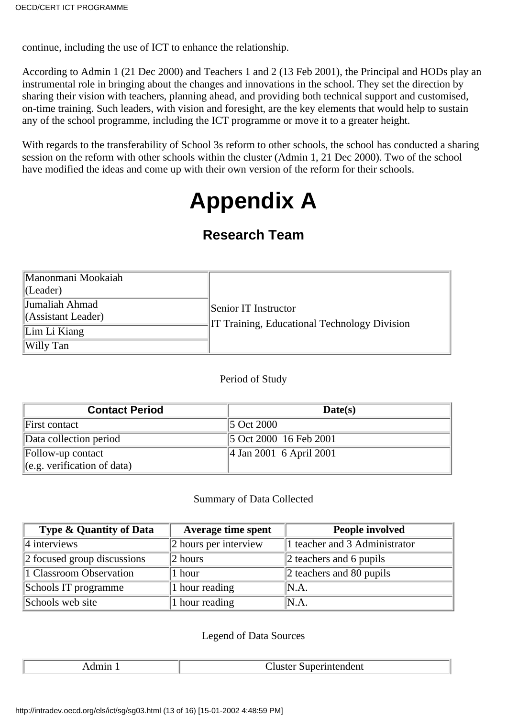continue, including the use of ICT to enhance the relationship.

According to Admin 1 (21 Dec 2000) and Teachers 1 and 2 (13 Feb 2001), the Principal and HODs play an instrumental role in bringing about the changes and innovations in the school. They set the direction by sharing their vision with teachers, planning ahead, and providing both technical support and customised, on-time training. Such leaders, with vision and foresight, are the key elements that would help to sustain any of the school programme, including the ICT programme or move it to a greater height.

<span id="page-12-0"></span>With regards to the transferability of School 3 s reform to other schools, the school has conducted a sharing session on the reform with other schools within the cluster (Admin 1, 21 Dec 2000). Two of the school have modified the ideas and come up with their own version of the reform for their schools.

# **Appendix A**

# **Research Team**

| Manonmani Mookaiah<br> (Leader)      |                                                                   |
|--------------------------------------|-------------------------------------------------------------------|
| Jumaliah Ahmad<br>(Assistant Leader) | Senior IT Instructor<br>Training, Educational Technology Division |
| Lim Li Kiang                         |                                                                   |
| Willy Tan                            |                                                                   |

### Period of Study

| <b>Contact Period</b>                 | Date(s)                             |
|---------------------------------------|-------------------------------------|
| First contact                         | 5 Oct 2000                          |
| Data collection period                | $\vert$ 5 Oct 2000 16 Feb 2001      |
| Follow-up contact                     | $\parallel$ 4 Jan 2001 6 April 2001 |
| $\left\ $ (e.g. verification of data) |                                     |

### Summary of Data Collected

| <b>Type &amp; Quantity of Data</b> | <b>Average time spent</b> | <b>People involved</b>           |
|------------------------------------|---------------------------|----------------------------------|
| $ 4$ interviews                    | 2 hours per interview     | 1 teacher and 3 Administrator    |
| 2 focused group discussions        | $ 2$ hours                | $\ 2$ teachers and 6 pupils      |
| 1 Classroom Observation            | 1 hour                    | $\vert$ 2 teachers and 80 pupils |
| School s IT programme              | 1 hour reading            | N.A.                             |
| School s web site                  | 1 hour reading            | N.A.                             |

### Legend of Data Sources

Admin 1 Cluster Superintendent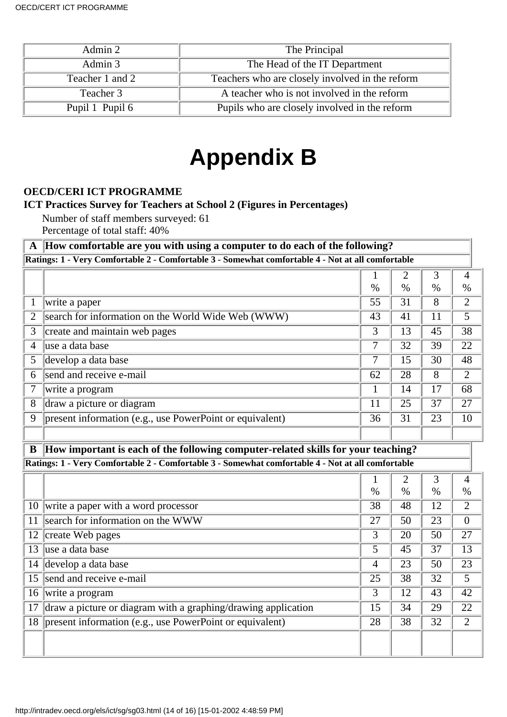| Admin 2         | The Principal                                   |
|-----------------|-------------------------------------------------|
| Admin 3         | The Head of the IT Department                   |
| Teacher 1 and 2 | Teachers who are closely involved in the reform |
| Teacher 3       | A teacher who is not involved in the reform     |
| Pupil 1 Pupil 6 | Pupils who are closely involved in the reform   |

# **Appendix B**

## <span id="page-13-0"></span>**OECD/CERI ICT PROGRAMME**

### **ICT Practices Survey for Teachers at School 2 (Figures in Percentages)**

Number of staff members surveyed: 61

Percentage of total staff: 40%

### **A How comfortable are you with using a computer to do each of the following? Ratings: 1 - Very Comfortable 2 - Comfortable 3 - Somewhat comfortable 4 - Not at all comfortable**

|   | o                                                        |      |      |      |      |
|---|----------------------------------------------------------|------|------|------|------|
|   |                                                          |      |      |      |      |
|   |                                                          | $\%$ | $\%$ | $\%$ | $\%$ |
|   | write a paper                                            | 55   | 31   | 8    | າ    |
|   | search for information on the World Wide Web (WWW)       | 43   | 41   | 11   |      |
| 3 | create and maintain web pages                            | 3    | 13   | 45   | 38   |
| 4 | luse a data base                                         |      | 32   | 39   | 22   |
| 5 | develop a data base                                      |      | 15   | 30   | 48   |
| 6 | send and receive e-mail                                  | 62   | 28   | 8    |      |
|   | write a program                                          |      | 14   | 17   | 68   |
| 8 | draw a picture or diagram                                | 11   | 25   | 37   | 27   |
| 9 | present information (e.g., use PowerPoint or equivalent) | 36   | 31   | 23   | 10   |
|   |                                                          |      |      |      |      |

### **B How important is each of the following computer-related skills for your teaching? Ratings: 1 - Very Comfortable 2 - Comfortable 3 - Somewhat comfortable 4 - Not at all comfortable**

|    |                                                               |                |      | 3    | 4              |
|----|---------------------------------------------------------------|----------------|------|------|----------------|
|    |                                                               | $\%$           | $\%$ | $\%$ | $\%$           |
|    | 10 write a paper with a word processor                        | 38             | 48   | 12   | $\overline{c}$ |
| 11 | search for information on the WWW                             | 27             | 50   | 23   | $\Omega$       |
| 12 | create Web pages                                              | 3              | 20   | 50   | 27             |
| 13 | luse a data base                                              | 5              | 45   | 37   | 13             |
| 14 | develop a data base                                           | $\overline{4}$ | 23   | 50   | 23             |
|    | 15 send and receive e-mail                                    | 25             | 38   | 32   | 5              |
| 16 | write a program                                               | 3              | 12   | 43   | 42             |
| 17 | draw a picture or diagram with a graphing/drawing application | 15             | 34   | 29   | 22             |
|    | 18   present information (e.g., use PowerPoint or equivalent) | 28             | 38   | 32   | っ              |
|    |                                                               |                |      |      |                |
|    |                                                               |                |      |      |                |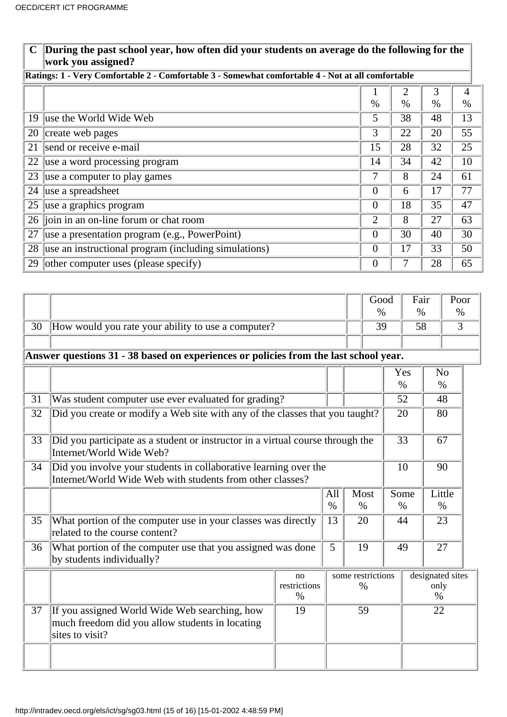### **C During the past school year, how often did your students on average do the following for the work you assigned?**

## **Ratings: 1 - Very Comfortable 2 - Comfortable 3 - Somewhat comfortable 4 - Not at all comfortable**

|    |                                                       |                | 2    | 3               | 4    |
|----|-------------------------------------------------------|----------------|------|-----------------|------|
|    |                                                       | $\%$           | $\%$ | %               | $\%$ |
|    | 19 use the World Wide Web                             | 5              | 38   | 48              | 13   |
| 20 | create web pages                                      | 3              | 22   | 20              | 55   |
| 21 | send or receive e-mail                                | 15             | 28   | 32              | 25   |
| 22 | use a word processing program                         | 14             | 34   | 42              | 10   |
| 23 | use a computer to play games                          | 7              | 8    | 24              | 61   |
|    | 24   use a spreadsheet                                | 0              | 6    | $\overline{17}$ | 77   |
| 25 | use a graphics program                                | 0              | 18   | 35              | 47   |
|    | $\overline{26}$ join in an on-line forum or chat room | $\overline{2}$ | 8    | 27              | 63   |
| 27 | use a presentation program (e.g., PowerPoint)         | 0              | 30   | 40              | 30   |
| 28 | use an instructional program (including simulations)  | 0              | 17   | 33              | 50   |
| 29 | other computer uses (please specify)                  | 0              |      | 28              | 65   |

|                 |                                                                                                                               |                            |      |                           | Good<br>$\%$ |                 | Fair<br>$\%$                     |                        | Poor<br>$\%$   |
|-----------------|-------------------------------------------------------------------------------------------------------------------------------|----------------------------|------|---------------------------|--------------|-----------------|----------------------------------|------------------------|----------------|
| 30              | How would you rate your ability to use a computer?                                                                            |                            |      |                           | 39           |                 | 58                               |                        | $\overline{3}$ |
|                 |                                                                                                                               |                            |      |                           |              |                 |                                  |                        |                |
|                 | Answer questions 31 - 38 based on experiences or policies from the last school year.                                          |                            |      |                           |              |                 |                                  |                        |                |
|                 |                                                                                                                               |                            |      |                           |              | $\%$            | Yes                              | N <sub>o</sub><br>$\%$ |                |
| 31              | Was student computer use ever evaluated for grading?                                                                          |                            |      |                           |              |                 | 52                               | 48                     |                |
| 32              | Did you create or modify a Web site with any of the classes that you taught?                                                  |                            |      |                           |              |                 | 20                               | 80                     |                |
| $\overline{33}$ | Did you participate as a student or instructor in a virtual course through the<br>Internet/World Wide Web?                    |                            |      |                           |              | $\overline{33}$ |                                  | 67                     |                |
| 34              | Did you involve your students in collaborative learning over the<br>Internet/World Wide Web with students from other classes? |                            |      |                           |              |                 | 90<br>10                         |                        |                |
|                 |                                                                                                                               | All                        |      |                           | Most         |                 |                                  | Some<br>Little         |                |
|                 |                                                                                                                               |                            | $\%$ |                           | $\%$         | $\%$            |                                  | $\%$                   |                |
| 35              | What portion of the computer use in your classes was directly<br>related to the course content?                               |                            | 13   | 20                        |              | 44              |                                  | 23                     |                |
| 36              | What portion of the computer use that you assigned was done<br>by students individually?                                      |                            | 5    | 19                        |              | 49              |                                  | 27                     |                |
|                 |                                                                                                                               | no<br>restrictions<br>$\%$ |      | some restrictions<br>$\%$ |              |                 | designated sites<br>only<br>$\%$ |                        |                |
| 37              | If you assigned World Wide Web searching, how<br>much freedom did you allow students in locating<br>sites to visit?           | 19                         |      | 59                        |              | 22              |                                  |                        |                |
|                 |                                                                                                                               |                            |      |                           |              |                 |                                  |                        |                |